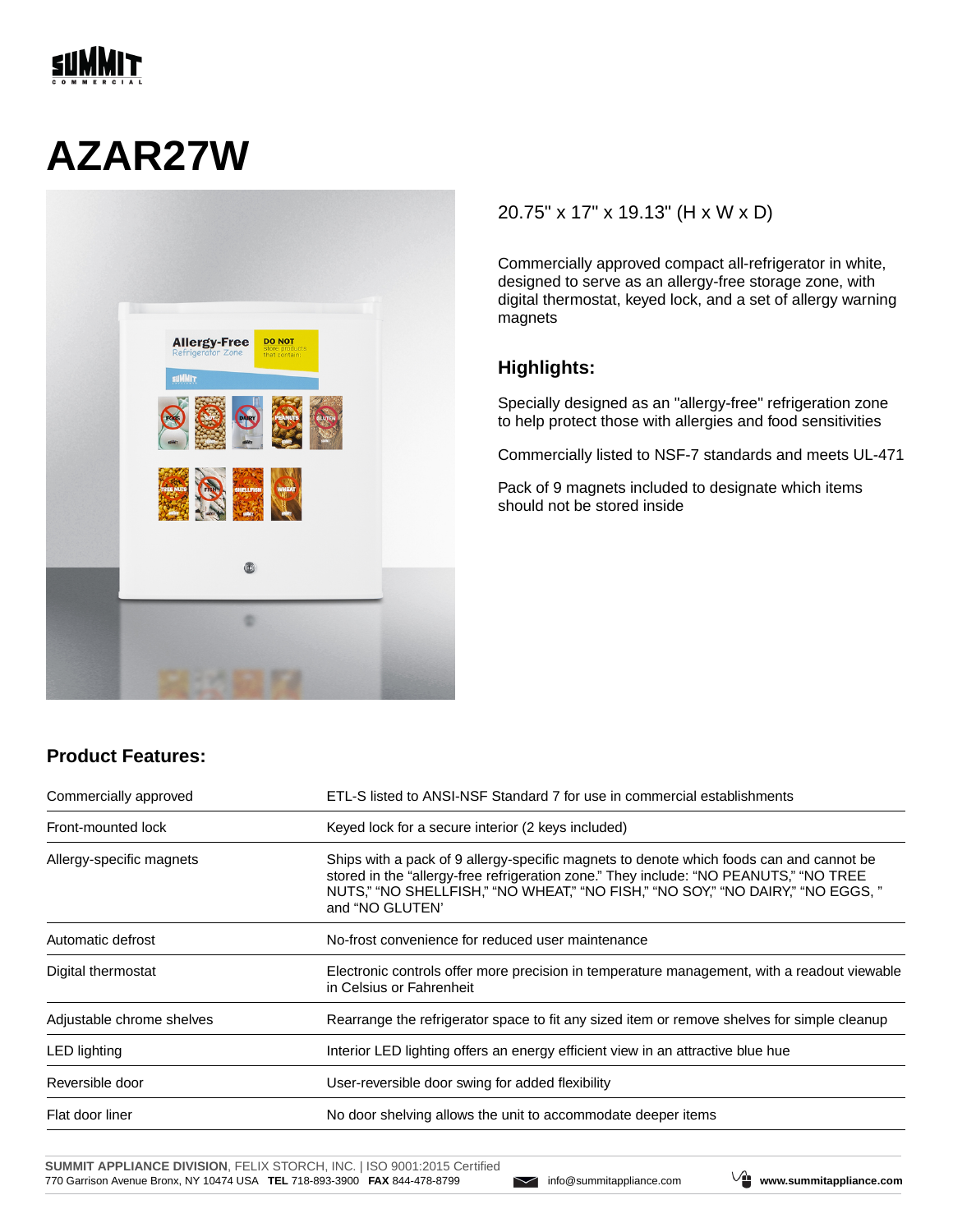

## **AZAR27W**



## 20.75" x 17" x 19.13" (H x W x D)

Commercially approved compact all-refrigerator in white, designed to serve as an allergy-free storage zone, with digital thermostat, keyed lock, and a set of allergy warning magnets

## **Highlights:**

Specially designed as an "allergy-free" refrigeration zone to help protect those with allergies and food sensitivities

Commercially listed to NSF-7 standards and meets UL-471

Pack of 9 magnets included to designate which items should not be stored inside

| Commercially approved     | ETL-S listed to ANSI-NSF Standard 7 for use in commercial establishments                                                                                                                                                                                                               |  |
|---------------------------|----------------------------------------------------------------------------------------------------------------------------------------------------------------------------------------------------------------------------------------------------------------------------------------|--|
| Front-mounted lock        | Keyed lock for a secure interior (2 keys included)                                                                                                                                                                                                                                     |  |
| Allergy-specific magnets  | Ships with a pack of 9 allergy-specific magnets to denote which foods can and cannot be<br>stored in the "allergy-free refrigeration zone." They include: "NO PEANUTS," "NO TREE<br>NUTS," "NO SHELLFISH," "NO WHEAT," "NO FISH," "NO SOY," "NO DAIRY," "NO EGGS, "<br>and "NO GLUTEN" |  |
| Automatic defrost         | No-frost convenience for reduced user maintenance                                                                                                                                                                                                                                      |  |
| Digital thermostat        | Electronic controls offer more precision in temperature management, with a readout viewable<br>in Celsius or Fahrenheit                                                                                                                                                                |  |
| Adjustable chrome shelves | Rearrange the refrigerator space to fit any sized item or remove shelves for simple cleanup                                                                                                                                                                                            |  |
| LED lighting              | Interior LED lighting offers an energy efficient view in an attractive blue hue                                                                                                                                                                                                        |  |
| Reversible door           | User-reversible door swing for added flexibility                                                                                                                                                                                                                                       |  |
| Flat door liner           | No door shelving allows the unit to accommodate deeper items                                                                                                                                                                                                                           |  |

**SUMMIT APPLIANCE DIVISION**, FELIX STORCH, INC. | ISO 9001:2015 Certified 770 Garrison Avenue Bronx, NY 10474 USA **TEL** 718-893-3900 **FAX** 844-478-8799 info@summitappliance.com **www.summitappliance.com**